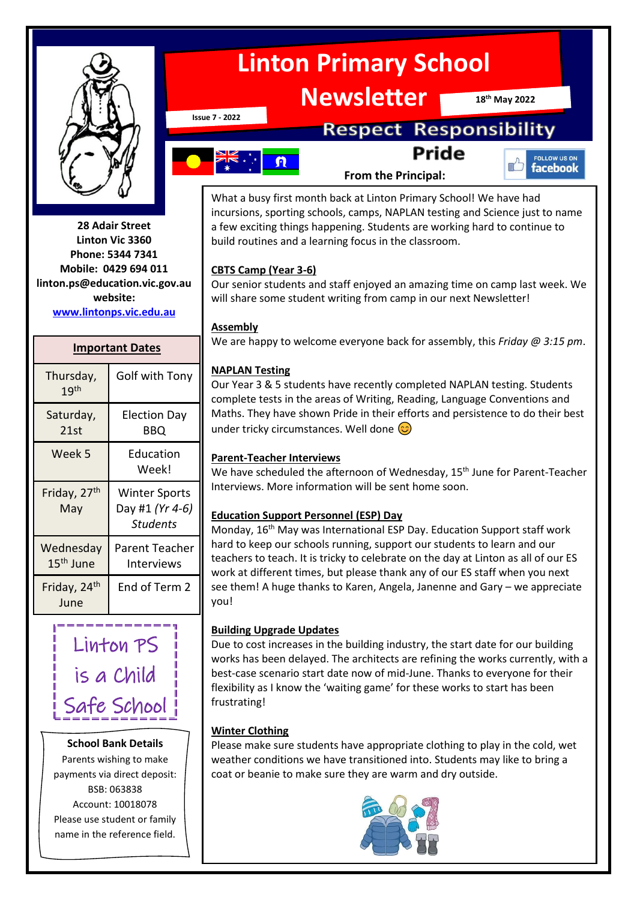

**28 Adair Street Linton Vic 3360 Phone: 5344 7341 Mobile: 0429 694 011 linton.ps@education.vic.gov.au website: [www.lintonps.vic.edu.au](http://www.lintonps.vic.edu.au/)**

#### **Important Dates**

| Thursday,<br>19 <sup>th</sup>      | Golf with Tony                                             |
|------------------------------------|------------------------------------------------------------|
| Saturday,<br>21st                  | <b>Election Day</b><br>BBQ                                 |
| Week 5                             | Education<br>Week!                                         |
| Friday, 27 <sup>th</sup><br>May    | <b>Winter Sports</b><br>Day #1 (Yr 4-6)<br><b>Students</b> |
| Wednesday<br>15 <sup>th</sup> June | Parent Teacher<br>Interviews                               |
| Friday, 24 <sup>th</sup><br>June   | End of Term 2                                              |

# Linton PS is a Child Safe School

#### **School Bank Details**

Parents wishing to make payments via direct deposit: BSB: 063838 Account: 10018078 Please use student or family name in the reference field.

# **Linton Primary School**

**Newsletter**

**18th May 2022**

**Issue 7 - 2022**

# **Respect Responsibility Pride**

- $\boldsymbol{\Omega}$
- **From the Principal:**



What a busy first month back at Linton Primary School! We have had incursions, sporting schools, camps, NAPLAN testing and Science just to name a few exciting things happening. Students are working hard to continue to build routines and a learning focus in the classroom.

#### **CBTS Camp (Year 3-6)**

Our senior students and staff enjoyed an amazing time on camp last week. We will share some student writing from camp in our next Newsletter!

#### **Assembly**

We are happy to welcome everyone back for assembly, this *Friday @ 3:15 pm*.

#### **NAPLAN Testing**

Our Year 3 & 5 students have recently completed NAPLAN testing. Students complete tests in the areas of Writing, Reading, Language Conventions and Maths. They have shown Pride in their efforts and persistence to do their best under tricky circumstances. Well done  $\odot$ 

#### **Parent-Teacher Interviews**

We have scheduled the afternoon of Wednesday, 15<sup>th</sup> June for Parent-Teacher Interviews. More information will be sent home soon.

#### **Education Support Personnel (ESP) Day**

Monday, 16<sup>th</sup> May was International ESP Day. Education Support staff work hard to keep our schools running, support our students to learn and our teachers to teach. It is tricky to celebrate on the day at Linton as all of our ES work at different times, but please thank any of our ES staff when you next see them! A huge thanks to Karen, Angela, Janenne and Gary – we appreciate you!

#### **Building Upgrade Updates**

Due to cost increases in the building industry, the start date for our building works has been delayed. The architects are refining the works currently, with a best-case scenario start date now of mid-June. Thanks to everyone for their flexibility as I know the 'waiting game' for these works to start has been frustrating!

#### **Winter Clothing**

Please make sure students have appropriate clothing to play in the cold, wet weather conditions we have transitioned into. Students may like to bring a coat or beanie to make sure they are warm and dry outside.

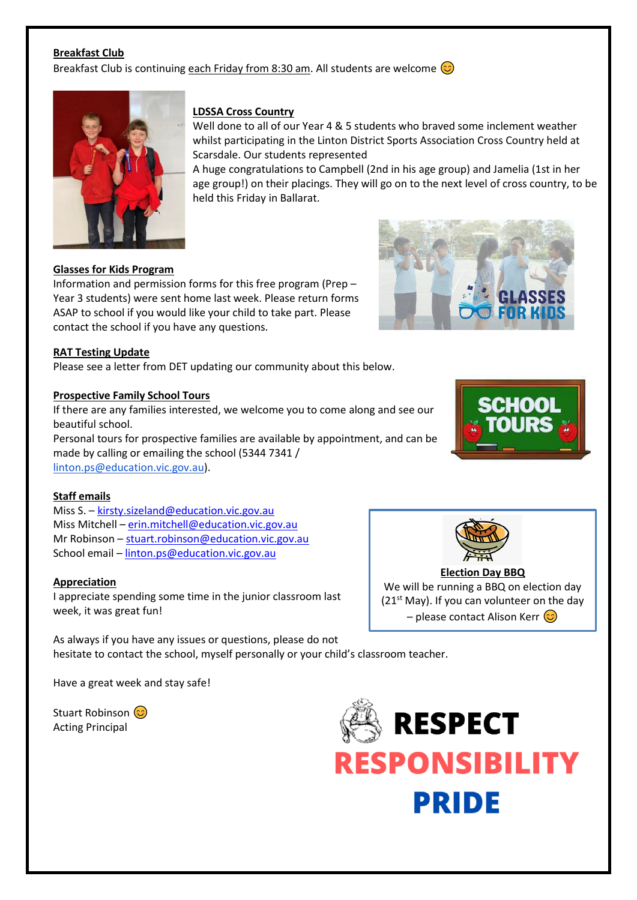#### **Breakfast Club**

Breakfast Club is continuing each Friday from 8:30 am. All students are welcome  $\odot$ 



#### **LDSSA Cross Country**

Well done to all of our Year 4 & 5 students who braved some inclement weather whilst participating in the Linton District Sports Association Cross Country held at Scarsdale. Our students represented

A huge congratulations to Campbell (2nd in his age group) and Jamelia (1st in her age group!) on their placings. They will go on to the next level of cross country, to be held this Friday in Ballarat.

#### **Glasses for Kids Program**

Information and permission forms for this free program (Prep – Year 3 students) were sent home last week. Please return forms ASAP to school if you would like your child to take part. Please contact the school if you have any questions.

#### **RAT Testing Update**

Please see a letter from DET updating our community about this below.

#### **Prospective Family School Tours**

If there are any families interested, we welcome you to come along and see our beautiful school.

Personal tours for prospective families are available by appointment, and can be made by calling or emailing the school (5344 7341 / [linton.ps@education.vic.gov.au\)](mailto:linton.ps@education.vic.gov.au).

#### **Staff emails**

Miss S. – [kirsty.sizeland@education.vic.gov.au](mailto:kirsty.sizeland@education.vic.gov.au) Miss Mitchell – [erin.mitchell@education.vic.gov.au](mailto:erin.mitchell@education.vic.gov.au) Mr Robinson – [stuart.robinson@education.vic.gov.au](mailto:stuart.robinson@education.vic.gov.au) School email – [linton.ps@education.vic.gov.au](mailto:linton.ps@education.vic.gov.au)

#### **Appreciation**

I appreciate spending some time in the junior classroom last week, it was great fun!

As always if you have any issues or questions, please do not hesitate to contact the school, myself personally or your child's classroom teacher.

Have a great week and stay safe!

Stuart Robinson (C) Acting Principal







## **Election Day BBQ**

We will be running a BBQ on election day (21<sup>st</sup> May). If you can volunteer on the day – please contact Alison Kerr  $\odot$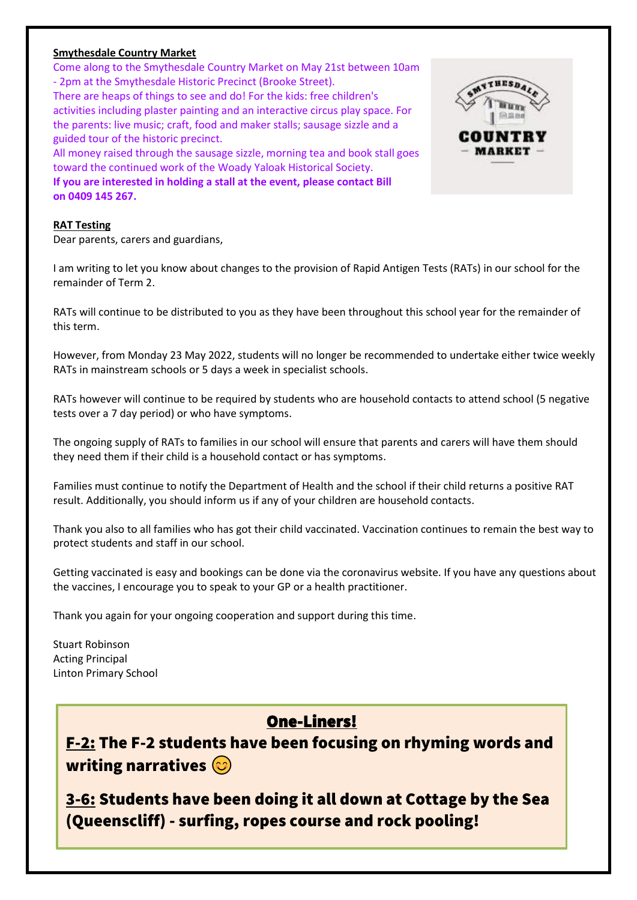#### **Smythesdale Country Market**

Come along to the Smythesdale Country Market on May 21st between 10am - 2pm at the Smythesdale Historic Precinct (Brooke Street). There are heaps of things to see and do! For the kids: free children's activities including plaster painting and an interactive circus play space. For the parents: live music; craft, food and maker stalls; sausage sizzle and a guided tour of the historic precinct. All money raised through the sausage sizzle, morning tea and book stall goes toward the continued work of the Woady Yaloak Historical Society.

**If you are interested in holding a stall at the event, please contact Bill on 0409 145 267.**

#### **RAT Testing**

Dear parents, carers and guardians,

I am writing to let you know about changes to the provision of Rapid Antigen Tests (RATs) in our school for the remainder of Term 2.

RATs will continue to be distributed to you as they have been throughout this school year for the remainder of this term.

However, from Monday 23 May 2022, students will no longer be recommended to undertake either twice weekly RATs in mainstream schools or 5 days a week in specialist schools.

RATs however will continue to be required by students who are household contacts to attend school (5 negative tests over a 7 day period) or who have symptoms.

The ongoing supply of RATs to families in our school will ensure that parents and carers will have them should they need them if their child is a household contact or has symptoms.

Families must continue to notify the Department of Health and the school if their child returns a positive RAT result. Additionally, you should inform us if any of your children are household contacts.

Thank you also to all families who has got their child vaccinated. Vaccination continues to remain the best way to protect students and staff in our school.

Getting vaccinated is easy and bookings can be done via the coronavirus website. If you have any questions about the vaccines, I encourage you to speak to your GP or a health practitioner.

Thank you again for your ongoing cooperation and support during this time.

Stuart Robinson Acting Principal Linton Primary School

## One-Liners!

F-2: The F-2 students have been focusing on rhyming words and writing narratives  $\circledcirc$ 

3-6: Students have been doing it all down at Cottage by the Sea (Queenscliff) - surfing, ropes course and rock pooling!